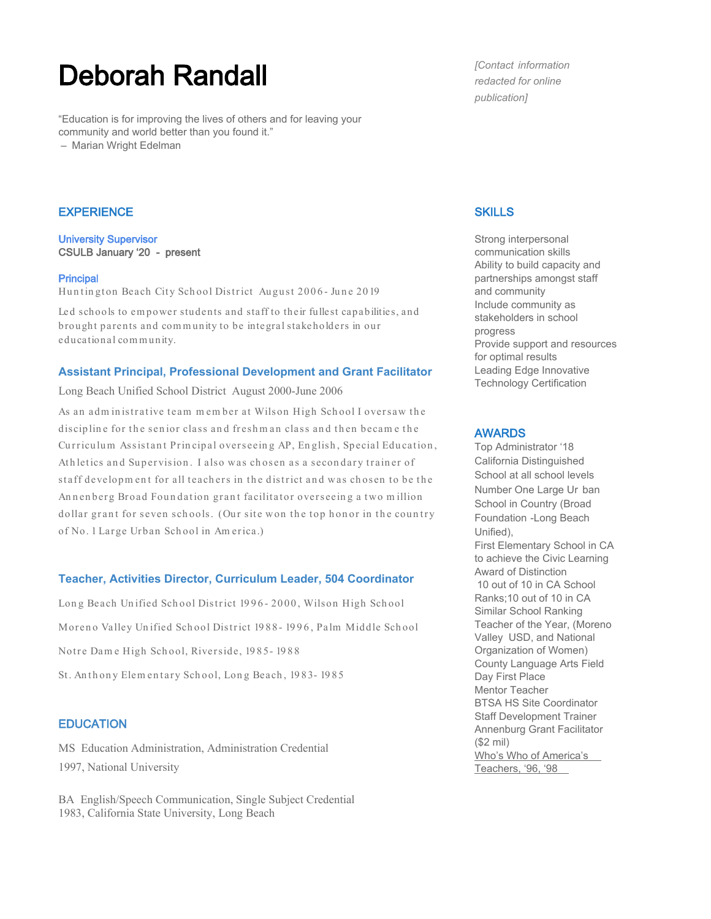# Deborah Randall

"Education is for improving the lives of others and for leaving your community and world better than you found it." – Marian Wright Edelman

## **EXPERIENCE**

University Supervisor CSULB January '20 - present

#### **Principal**

Huntington Beach City School District August 2006 - June 2019

Led schools to em power students and staff to their fullest capabilities, and brought parents and com m unity to be integral stakeholders in our educational com m unity.

### **Assistant Principal, Professional Development and Grant Facilitator**

Long Beach Unified School District August 2000-June 2006

As an administrative team member at Wilson High School I oversaw the discipline for the senior class and freshm an class and then becam e the Curriculum Assistant Principal overseeing AP, English, Special Education, Ath letics and Supervision. I also was chosen as a secondary trainer of staff developm ent for all teachers in the district and was chosen to be the Annenberg Broad Foundation grant facilitator overseeing a two million dollar grant for seven schools. (Our site won the top honor in the country of No. 1 Lar ge Ur ban Sch ool in Am er ica.)

## **Teacher, Activities Director, Curriculum Leader, 504 Coordinator**

Long Beach Unified School District 1996-2000, Wilson High School Moreno Valley Unified School District 1988-1996, Palm Middle School Notre Dame High School, Riverside, 1985-1988 St. An thony Elem entary School, Long Beach, 1983-1985

# **EDUCATION**

MS Education Administration, Administration Credential 1997, National University

BA English/Speech Communication, Single Subject Credential 1983, California State University, Long Beach

*[Contact information redacted for online publication]*

## **SKILLS**

Strong interpersonal communication skills Ability to build capacity and partnerships amongst staff and community Include community as stakeholders in school progress Provide support and resources for optimal results Leading Edge Innovative Technology Certification

### AWARDS

Top Administrator '18 California Distinguished School at all school levels Number One Large Ur ban School in Country (Broad Foundation -Long Beach Unified), First Elementary School in CA to achieve the Civic Learning Award of Distinction 10 out of 10 in CA School Ranks;10 out of 10 in CA Similar School Ranking Teacher of the Year, (Moreno Valley USD, and National Organization of Women) County Language Arts Field Day First Place Mentor Teacher BTSA HS Site Coordinator Staff Development Trainer Annenburg Grant Facilitator (\$2 mil) Who's Who of America's Teachers, '96, '98